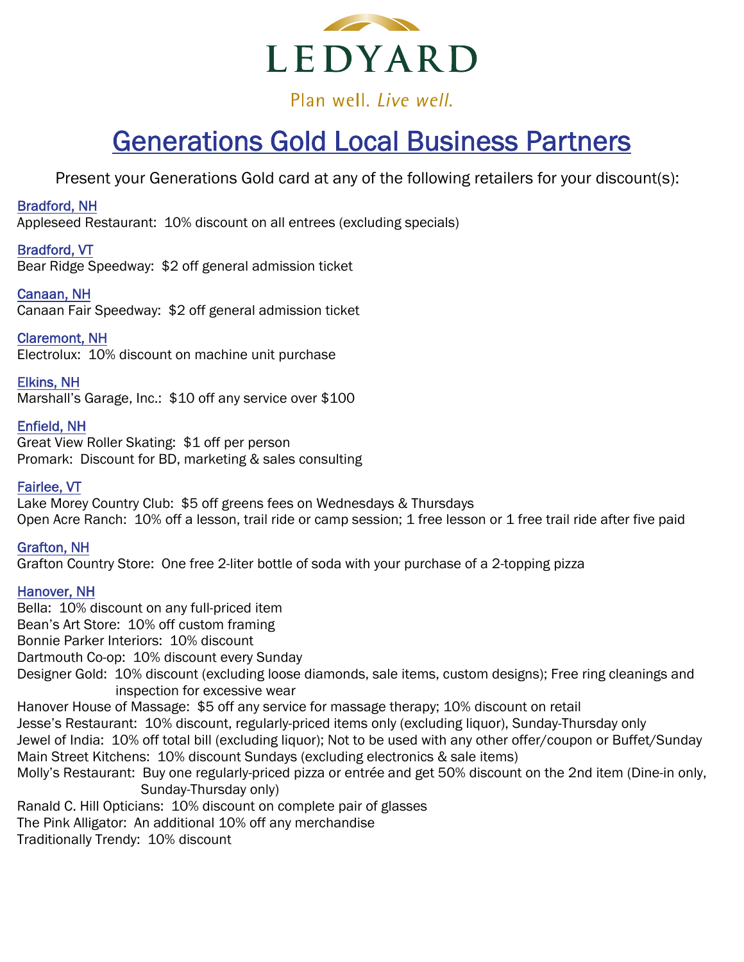

Plan well, Live well.

# Generations Gold Local Business Partners

Present your Generations Gold card at any of the following retailers for your discount(s):

# Bradford, NH

Appleseed Restaurant: 10% discount on all entrees (excluding specials)

# Bradford, VT

Bear Ridge Speedway: \$2 off general admission ticket

# Canaan, NH

Canaan Fair Speedway: \$2 off general admission ticket

# Claremont, NH

Electrolux: 10% discount on machine unit purchase

# Elkins, NH

Marshall's Garage, Inc.: \$10 off any service over \$100

# Enfield, NH

Great View Roller Skating: \$1 off per person Promark: Discount for BD, marketing & sales consulting

# Fairlee, VT

Lake Morey Country Club: \$5 off greens fees on Wednesdays & Thursdays Open Acre Ranch: 10% off a lesson, trail ride or camp session; 1 free lesson or 1 free trail ride after five paid

## Grafton, NH

Grafton Country Store: One free 2-liter bottle of soda with your purchase of a 2-topping pizza

## Hanover, NH

Bella: 10% discount on any full-priced item Bean's Art Store: 10% off custom framing Bonnie Parker Interiors: 10% discount Dartmouth Co-op: 10% discount every Sunday Designer Gold: 10% discount (excluding loose diamonds, sale items, custom designs); Free ring cleanings and inspection for excessive wear Hanover House of Massage: \$5 off any service for massage therapy; 10% discount on retail Jesse's Restaurant: 10% discount, regularly-priced items only (excluding liquor), Sunday-Thursday only Jewel of India: 10% off total bill (excluding liquor); Not to be used with any other offer/coupon or Buffet/Sunday Main Street Kitchens: 10% discount Sundays (excluding electronics & sale items) Molly's Restaurant: Buy one regularly-priced pizza or entrée and get 50% discount on the 2nd item (Dine-in only, Sunday-Thursday only) Ranald C. Hill Opticians: 10% discount on complete pair of glasses The Pink Alligator: An additional 10% off any merchandise Traditionally Trendy: 10% discount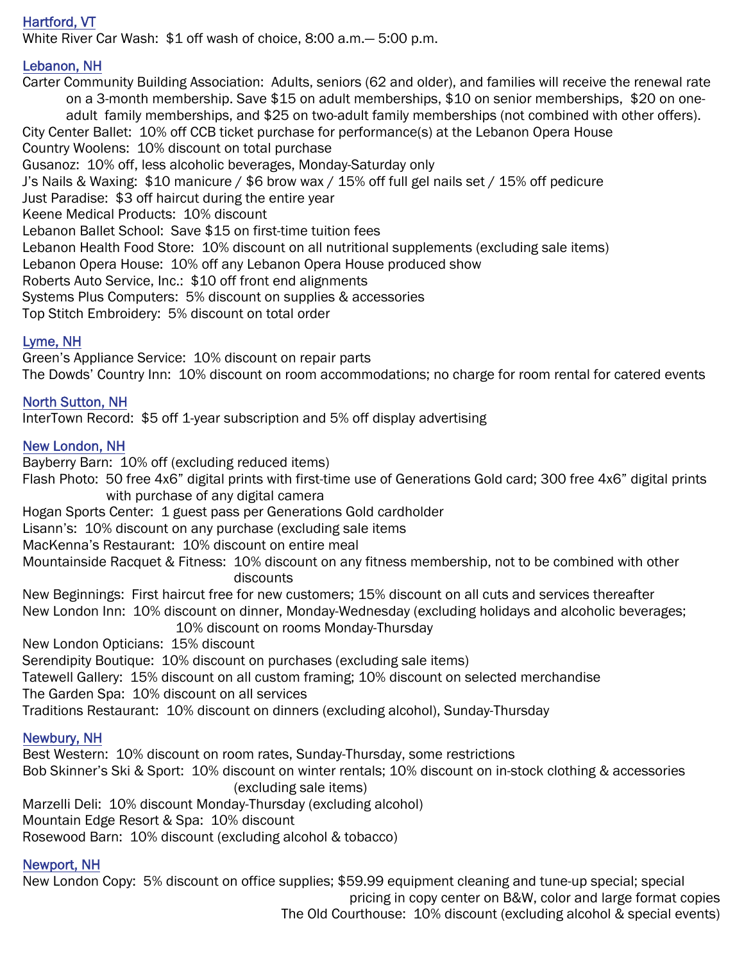# Hartford, VT

White River Car Wash: \$1 off wash of choice, 8:00 a.m.— 5:00 p.m.

#### Lebanon, NH

Carter Community Building Association: Adults, seniors (62 and older), and families will receive the renewal rate on a 3-month membership. Save \$15 on adult memberships, \$10 on senior memberships, \$20 on oneadult family memberships, and \$25 on two-adult family memberships (not combined with other offers). City Center Ballet: 10% off CCB ticket purchase for performance(s) at the Lebanon Opera House Country Woolens: 10% discount on total purchase Gusanoz: 10% off, less alcoholic beverages, Monday-Saturday only J's Nails & Waxing: \$10 manicure / \$6 brow wax / 15% off full gel nails set / 15% off pedicure Just Paradise: \$3 off haircut during the entire year Keene Medical Products: 10% discount Lebanon Ballet School: Save \$15 on first-time tuition fees Lebanon Health Food Store: 10% discount on all nutritional supplements (excluding sale items) Lebanon Opera House: 10% off any Lebanon Opera House produced show Roberts Auto Service, Inc.: \$10 off front end alignments Systems Plus Computers: 5% discount on supplies & accessories Top Stitch Embroidery: 5% discount on total order

#### Lyme, NH

Green's Appliance Service: 10% discount on repair parts The Dowds' Country Inn: 10% discount on room accommodations; no charge for room rental for catered events

## North Sutton, NH

InterTown Record: \$5 off 1-year subscription and 5% off display advertising

#### New London, NH

Bayberry Barn: 10% off (excluding reduced items)

Flash Photo: 50 free 4x6" digital prints with first-time use of Generations Gold card; 300 free 4x6" digital prints with purchase of any digital camera

Hogan Sports Center: 1 guest pass per Generations Gold cardholder

Lisann's: 10% discount on any purchase (excluding sale items

MacKenna's Restaurant: 10% discount on entire meal

Mountainside Racquet & Fitness: 10% discount on any fitness membership, not to be combined with other discounts

New Beginnings: First haircut free for new customers; 15% discount on all cuts and services thereafter New London Inn: 10% discount on dinner, Monday-Wednesday (excluding holidays and alcoholic beverages;

10% discount on rooms Monday-Thursday

New London Opticians: 15% discount

Serendipity Boutique: 10% discount on purchases (excluding sale items)

Tatewell Gallery: 15% discount on all custom framing; 10% discount on selected merchandise

The Garden Spa: 10% discount on all services

Traditions Restaurant: 10% discount on dinners (excluding alcohol), Sunday-Thursday

#### Newbury, NH

Best Western: 10% discount on room rates, Sunday-Thursday, some restrictions Bob Skinner's Ski & Sport: 10% discount on winter rentals; 10% discount on in-stock clothing & accessories (excluding sale items) Marzelli Deli: 10% discount Monday-Thursday (excluding alcohol) Mountain Edge Resort & Spa: 10% discount

Rosewood Barn: 10% discount (excluding alcohol & tobacco)

#### Newport, NH

New London Copy: 5% discount on office supplies; \$59.99 equipment cleaning and tune-up special; special

pricing in copy center on B&W, color and large format copies

The Old Courthouse: 10% discount (excluding alcohol & special events)